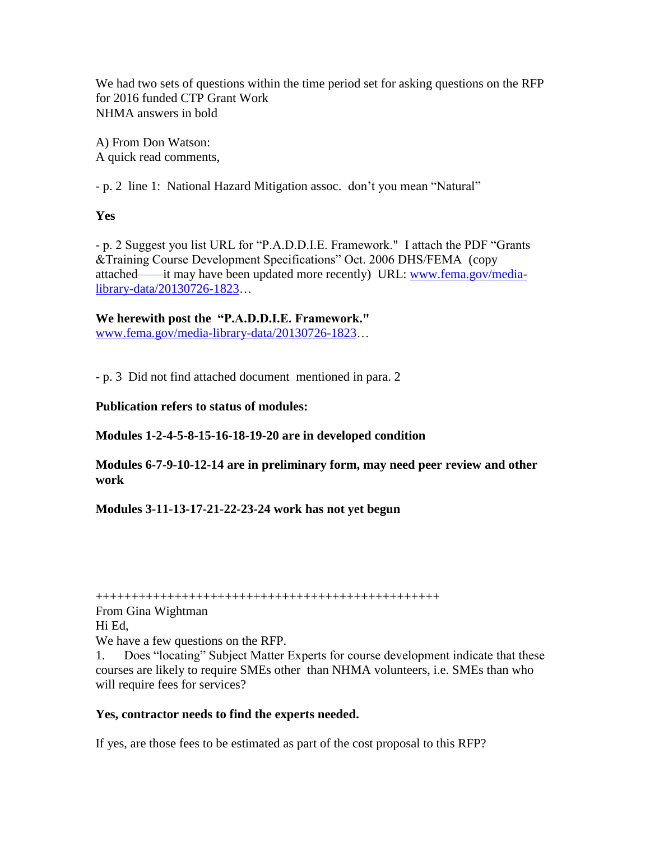We had two sets of questions within the time period set for asking questions on the RFP for 2016 funded CTP Grant Work NHMA answers in bold

A) From Don Watson: A quick read comments,

- p. 2 line 1: National Hazard Mitigation assoc. don't you mean "Natural"

### **Yes**

- p. 2 Suggest you list URL for "P.A.D.D.I.E. Framework." I attach the PDF "Grants &Training Course Development Specifications" Oct. 2006 DHS/FEMA (copy attached——it may have been updated more recently) URL: [www.fema.gov/media](http://www.fema.gov/media-library-data/20130726-1823)[library-data/20130726-1823…](http://www.fema.gov/media-library-data/20130726-1823)

**We herewith post the "P.A.D.D.I.E. Framework."** [www.fema.gov/media-library-data/20130726-1823…](http://www.fema.gov/media-library-data/20130726-1823)

- p. 3 Did not find attached document mentioned in para. 2

**Publication refers to status of modules:**

**Modules 1-2-4-5-8-15-16-18-19-20 are in developed condition**

**Modules 6-7-9-10-12-14 are in preliminary form, may need peer review and other work**

**Modules 3-11-13-17-21-22-23-24 work has not yet begun**

++++++++++++++++++++++++++++++++++++++++++++++++

From Gina Wightman

Hi Ed,

We have a few questions on the RFP.

1. Does "locating" Subject Matter Experts for course development indicate that these courses are likely to require SMEs other than NHMA volunteers, i.e. SMEs than who will require fees for services?

### **Yes, contractor needs to find the experts needed.**

If yes, are those fees to be estimated as part of the cost proposal to this RFP?